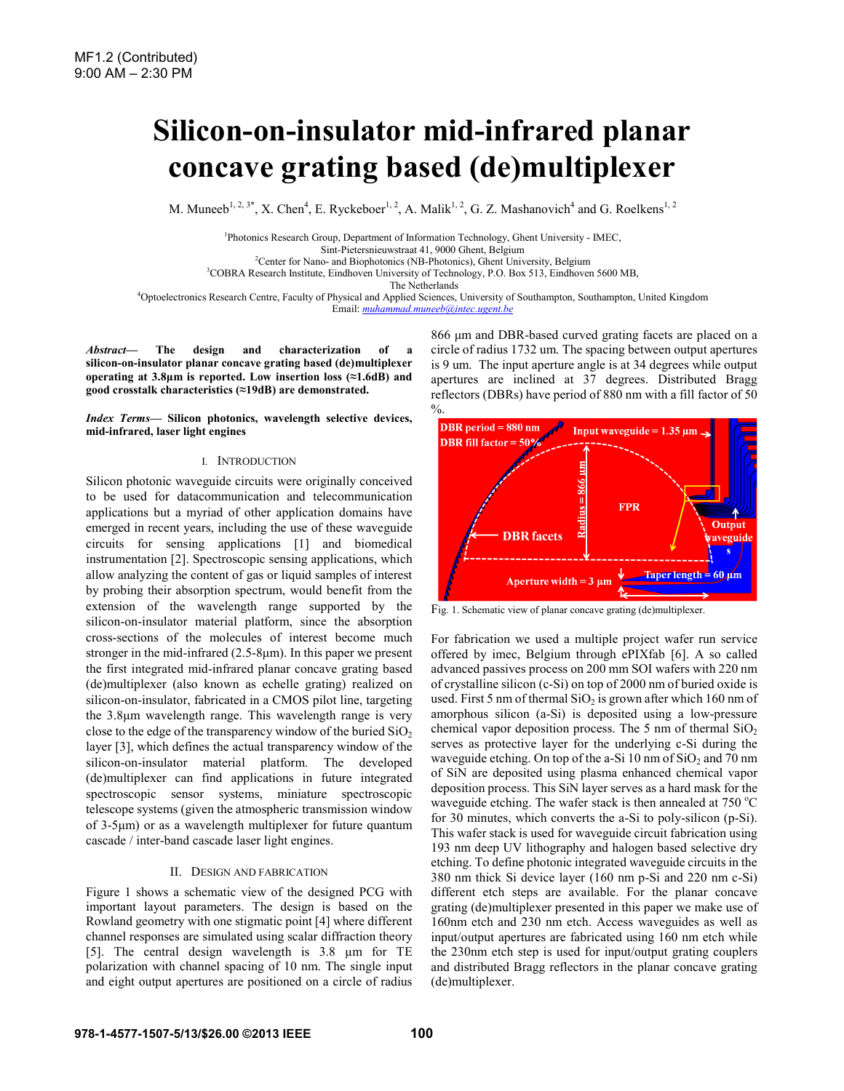# **Silicon-on-insulator mid-infrared planar concave grating based (de)multiplexer**

M. Muneeb<sup>1, 2, 3\*</sup>, X. Chen<sup>4</sup>, E. Ryckeboer<sup>1, 2</sup>, A. Malik<sup>1, 2</sup>, G. Z. Mashanovich<sup>4</sup> and G. Roelkens<sup>1, 2</sup>

<sup>1</sup><br>Photonics Research Group, Department of Information Technology, Ghent University - IMEC, Sint-Pietersnieuwstraat 41, 9000 Ghent, Belgium 2 <sup>2</sup>Center for Nano- and Biophotonics (NB-Photonics), Ghent University, Belgium <sup>3</sup>COBRA Research Institute, Eindhoven University of Technology, P.O. Box 513, Eindhoven 5600 MB,

The Netherlands<br>4 Optoelectronics Research Centre, Faculty of Physical and Applied Sciences, University of Southampton, Southampton, United Kingdom Email: *muhammad.muneeb@intec.ugent.be*

*Abstract***— The design and characterization of a silicon-on-insulator planar concave grating based (de)multiplexer operating at 3.8μm is reported. Low insertion loss (≈1.6dB) and good crosstalk characteristics (≈19dB) are demonstrated.** 

*Index Terms***— Silicon photonics, wavelength selective devices, mid-infrared, laser light engines** 

## I. INTRODUCTION

Silicon photonic waveguide circuits were originally conceived to be used for datacommunication and telecommunication applications but a myriad of other application domains have emerged in recent years, including the use of these waveguide circuits for sensing applications [1] and biomedical instrumentation [2]. Spectroscopic sensing applications, which allow analyzing the content of gas or liquid samples of interest by probing their absorption spectrum, would benefit from the extension of the wavelength range supported by the silicon-on-insulator material platform, since the absorption cross-sections of the molecules of interest become much stronger in the mid-infrared (2.5-8μm). In this paper we present the first integrated mid-infrared planar concave grating based (de)multiplexer (also known as echelle grating) realized on silicon-on-insulator, fabricated in a CMOS pilot line, targeting the 3.8μm wavelength range. This wavelength range is very close to the edge of the transparency window of the buried  $SiO<sub>2</sub>$ layer [3], which defines the actual transparency window of the silicon-on-insulator material platform. The developed (de)multiplexer can find applications in future integrated spectroscopic sensor systems, miniature spectroscopic telescope systems (given the atmospheric transmission window of 3-5μm) or as a wavelength multiplexer for future quantum cascade / inter-band cascade laser light engines.

## II. DESIGN AND FABRICATION

Figure 1 shows a schematic view of the designed PCG with important layout parameters. The design is based on the Rowland geometry with one stigmatic point [4] where different channel responses are simulated using scalar diffraction theory [5]. The central design wavelength is 3.8 μm for TE polarization with channel spacing of 10 nm. The single input and eight output apertures are positioned on a circle of radius 866 μm and DBR-based curved grating facets are placed on a circle of radius 1732 um. The spacing between output apertures is 9 um. The input aperture angle is at 34 degrees while output apertures are inclined at 37 degrees. Distributed Bragg reflectors (DBRs) have period of 880 nm with a fill factor of 50



Fig. 1. Schematic view of planar concave grating (de)multiplexer.

For fabrication we used a multiple project wafer run service offered by imec, Belgium through ePIXfab [6]. A so called advanced passives process on 200 mm SOI wafers with 220 nm of crystalline silicon (c-Si) on top of 2000 nm of buried oxide is used. First 5 nm of thermal  $SiO<sub>2</sub>$  is grown after which 160 nm of amorphous silicon (a-Si) is deposited using a low-pressure chemical vapor deposition process. The 5 nm of thermal  $SiO<sub>2</sub>$ serves as protective layer for the underlying c-Si during the waveguide etching. On top of the a-Si  $10 \text{ nm}$  of  $SiO_2$  and  $70 \text{ nm}$ of SiN are deposited using plasma enhanced chemical vapor deposition process. This SiN layer serves as a hard mask for the waveguide etching. The wafer stack is then annealed at  $750^{\circ}$ C for 30 minutes, which converts the a-Si to poly-silicon (p-Si). This wafer stack is used for waveguide circuit fabrication using 193 nm deep UV lithography and halogen based selective dry etching. To define photonic integrated waveguide circuits in the 380 nm thick Si device layer (160 nm p-Si and 220 nm c-Si) different etch steps are available. For the planar concave grating (de)multiplexer presented in this paper we make use of 160nm etch and 230 nm etch. Access waveguides as well as input/output apertures are fabricated using 160 nm etch while the 230nm etch step is used for input/output grating couplers and distributed Bragg reflectors in the planar concave grating (de)multiplexer.